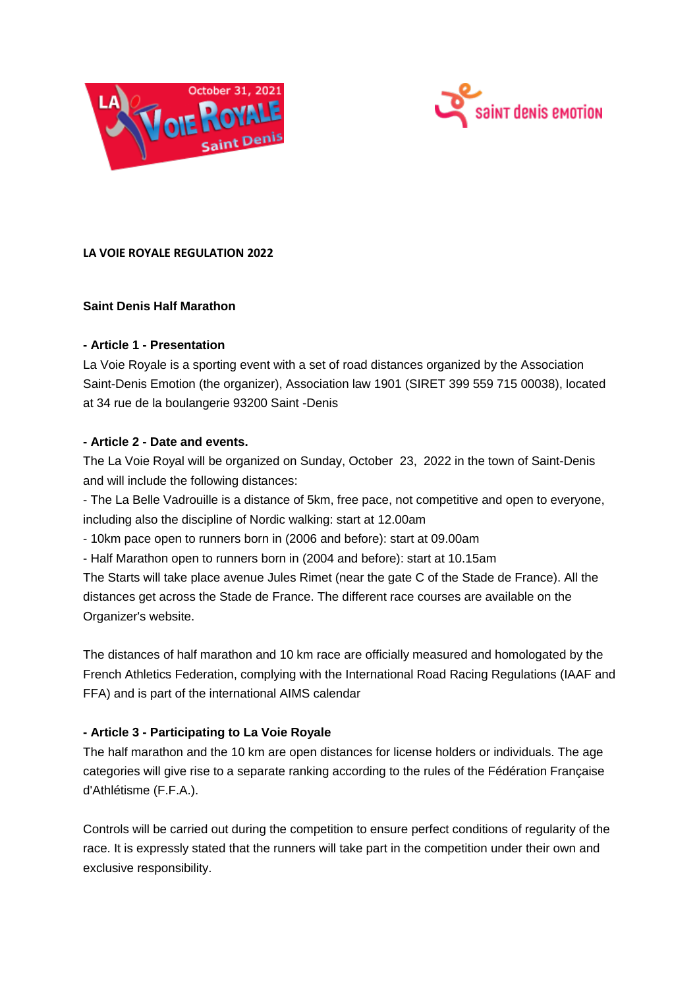



# **LA VOIE ROYALE REGULATION 2022**

### **Saint Denis Half Marathon**

### **- Article 1 - Presentation**

La Voie Royale is a sporting event with a set of road distances organized by the Association Saint-Denis Emotion (the organizer), Association law 1901 (SIRET 399 559 715 00038), located at 34 rue de la boulangerie 93200 Saint -Denis

### **- Article 2 - Date and events.**

The La Voie Royal will be organized on Sunday, October 23, 2022 in the town of Saint-Denis and will include the following distances:

- The La Belle Vadrouille is a distance of 5km, free pace, not competitive and open to everyone, including also the discipline of Nordic walking: start at 12.00am

- 10km pace open to runners born in (2006 and before): start at 09.00am

- Half Marathon open to runners born in (2004 and before): start at 10.15am

The Starts will take place avenue Jules Rimet (near the gate C of the Stade de France). All the distances get across the Stade de France. The different race courses are available on the Organizer's website.

The distances of half marathon and 10 km race are officially measured and homologated by the French Athletics Federation, complying with the International Road Racing Regulations (IAAF and FFA) and is part of the international AIMS calendar

# **- Article 3 - Participating to La Voie Royale**

The half marathon and the 10 km are open distances for license holders or individuals. The age categories will give rise to a separate ranking according to the rules of the Fédération Française d'Athlétisme (F.F.A.).

Controls will be carried out during the competition to ensure perfect conditions of regularity of the race. It is expressly stated that the runners will take part in the competition under their own and exclusive responsibility.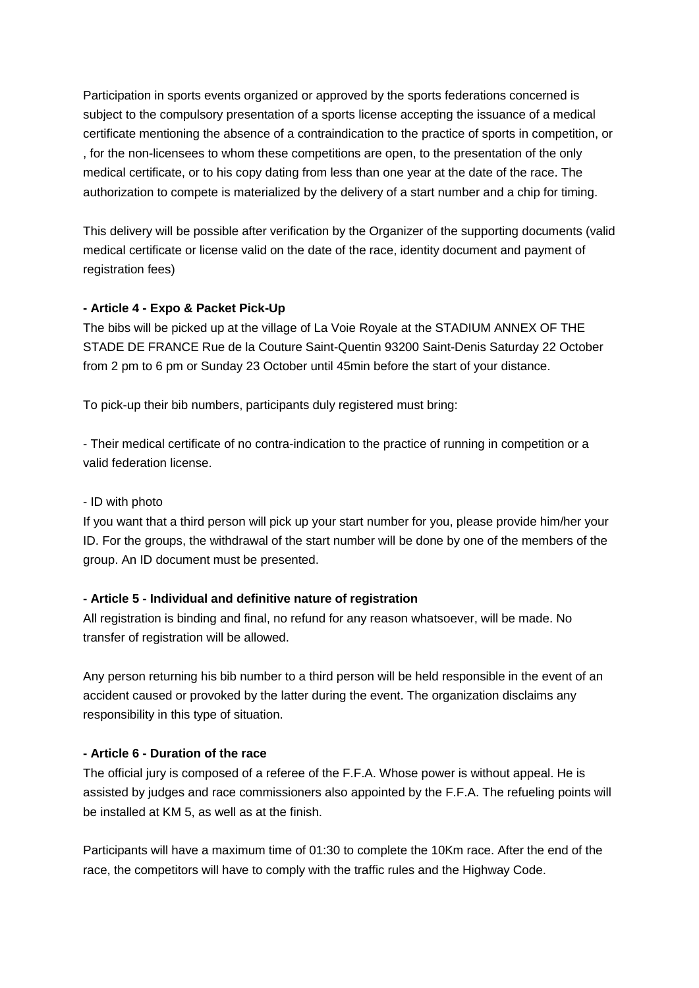Participation in sports events organized or approved by the sports federations concerned is subject to the compulsory presentation of a sports license accepting the issuance of a medical certificate mentioning the absence of a contraindication to the practice of sports in competition, or , for the non-licensees to whom these competitions are open, to the presentation of the only medical certificate, or to his copy dating from less than one year at the date of the race. The authorization to compete is materialized by the delivery of a start number and a chip for timing.

This delivery will be possible after verification by the Organizer of the supporting documents (valid medical certificate or license valid on the date of the race, identity document and payment of registration fees)

### **- Article 4 - Expo & Packet Pick-Up**

The bibs will be picked up at the village of La Voie Royale at the STADIUM ANNEX OF THE STADE DE FRANCE Rue de la Couture Saint-Quentin 93200 Saint-Denis Saturday 22 October from 2 pm to 6 pm or Sunday 23 October until 45min before the start of your distance.

To pick-up their bib numbers, participants duly registered must bring:

- Their medical certificate of no contra-indication to the practice of running in competition or a valid federation license.

### - ID with photo

If you want that a third person will pick up your start number for you, please provide him/her your ID. For the groups, the withdrawal of the start number will be done by one of the members of the group. An ID document must be presented.

#### **- Article 5 - Individual and definitive nature of registration**

All registration is binding and final, no refund for any reason whatsoever, will be made. No transfer of registration will be allowed.

Any person returning his bib number to a third person will be held responsible in the event of an accident caused or provoked by the latter during the event. The organization disclaims any responsibility in this type of situation.

### **- Article 6 - Duration of the race**

The official jury is composed of a referee of the F.F.A. Whose power is without appeal. He is assisted by judges and race commissioners also appointed by the F.F.A. The refueling points will be installed at KM 5, as well as at the finish.

Participants will have a maximum time of 01:30 to complete the 10Km race. After the end of the race, the competitors will have to comply with the traffic rules and the Highway Code.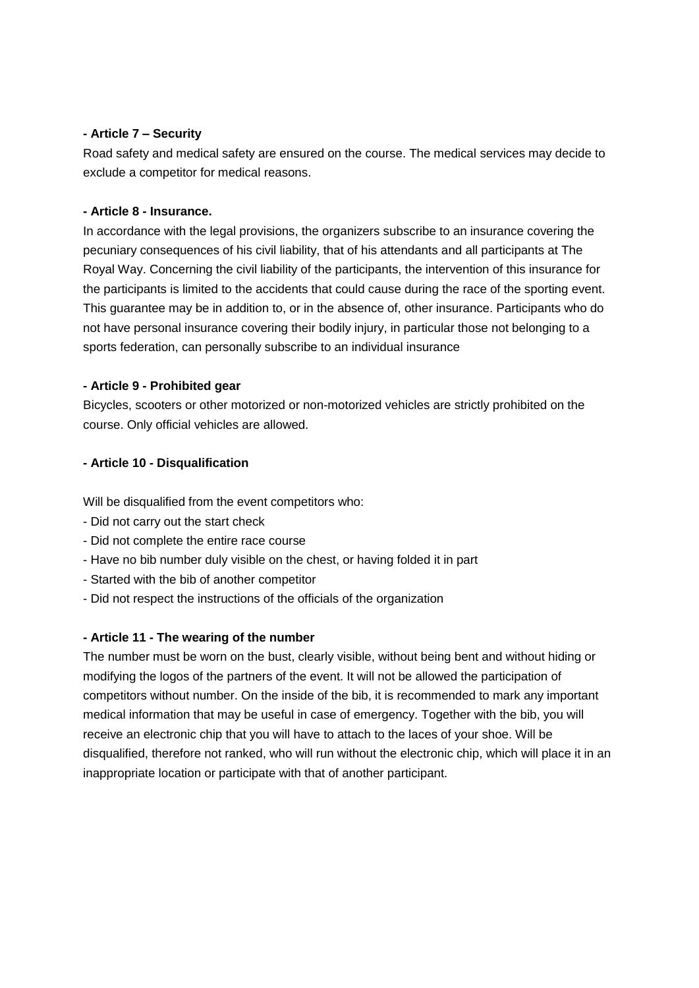### **- Article 7 – Security**

Road safety and medical safety are ensured on the course. The medical services may decide to exclude a competitor for medical reasons.

#### **- Article 8 - Insurance.**

In accordance with the legal provisions, the organizers subscribe to an insurance covering the pecuniary consequences of his civil liability, that of his attendants and all participants at The Royal Way. Concerning the civil liability of the participants, the intervention of this insurance for the participants is limited to the accidents that could cause during the race of the sporting event. This guarantee may be in addition to, or in the absence of, other insurance. Participants who do not have personal insurance covering their bodily injury, in particular those not belonging to a sports federation, can personally subscribe to an individual insurance

### **- Article 9 - Prohibited gear**

Bicycles, scooters or other motorized or non-motorized vehicles are strictly prohibited on the course. Only official vehicles are allowed.

# **- Article 10 - Disqualification**

Will be disqualified from the event competitors who:

- Did not carry out the start check
- Did not complete the entire race course
- Have no bib number duly visible on the chest, or having folded it in part
- Started with the bib of another competitor
- Did not respect the instructions of the officials of the organization

# **- Article 11 - The wearing of the number**

The number must be worn on the bust, clearly visible, without being bent and without hiding or modifying the logos of the partners of the event. It will not be allowed the participation of competitors without number. On the inside of the bib, it is recommended to mark any important medical information that may be useful in case of emergency. Together with the bib, you will receive an electronic chip that you will have to attach to the laces of your shoe. Will be disqualified, therefore not ranked, who will run without the electronic chip, which will place it in an inappropriate location or participate with that of another participant.